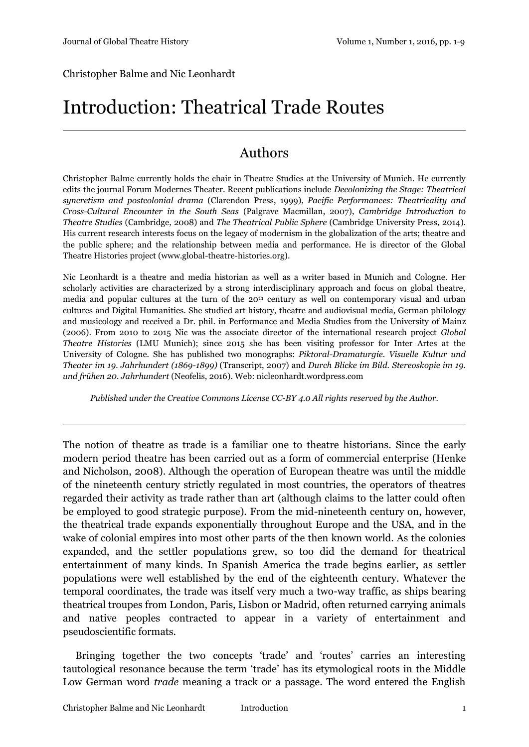Christopher Balme and Nic Leonhardt

# Introduction: Theatrical Trade Routes

#### Authors

Christopher Balme currently holds the chair in Theatre Studies at the University of Munich. He currently edits the journal Forum Modernes Theater. Recent publications include *Decolonizing the Stage: Theatrical syncretism and postcolonial drama* (Clarendon Press, 1999), *Pacific Performances: Theatricality and Cross-Cultural Encounter in the South Seas* (Palgrave Macmillan, 2007), *Cambridge Introduction to Theatre Studies* (Cambridge, 2008) and *The Theatrical Public Sphere* (Cambridge University Press, 2014). His current research interests focus on the legacy of modernism in the globalization of the arts; theatre and the public sphere; and the relationship between media and performance. He is director of the Global Theatre Histories project (www.global-theatre-histories.org).

Nic Leonhardt is a theatre and media historian as well as a writer based in Munich and Cologne. Her scholarly activities are characterized by a strong interdisciplinary approach and focus on global theatre, media and popular cultures at the turn of the 20<sup>th</sup> century as well on contemporary visual and urban cultures and Digital Humanities. She studied art history, theatre and audiovisual media, German philology and musicology and received a Dr. phil. in Performance and Media Studies from the University of Mainz (2006). From 2010 to 2015 Nic was the associate director of the international research project *Global Theatre Histories* (LMU Munich); since 2015 she has been visiting professor for Inter Artes at the University of Cologne. She has published two monographs: *Piktoral-Dramaturgie. Visuelle Kultur und Theater im 19. Jahrhundert (1869-1899)* (Transcript, 2007) and *Durch Blicke im Bild. Stereoskopie im 19. und frühen 20. Jahrhundert* (Neofelis, 2016). Web: nicleonhardt.wordpress.com

*Published under the Creative Commons License CC-BY 4.0 All rights reserved by the Author.*

The notion of theatre as trade is a familiar one to theatre historians. Since the early modern period theatre has been carried out as a form of commercial enterprise (Henke and Nicholson, 2008). Although the operation of European theatre was until the middle of the nineteenth century strictly regulated in most countries, the operators of theatres regarded their activity as trade rather than art (although claims to the latter could often be employed to good strategic purpose). From the mid-nineteenth century on, however, the theatrical trade expands exponentially throughout Europe and the USA, and in the wake of colonial empires into most other parts of the then known world. As the colonies expanded, and the settler populations grew, so too did the demand for theatrical entertainment of many kinds. In Spanish America the trade begins earlier, as settler populations were well established by the end of the eighteenth century. Whatever the temporal coordinates, the trade was itself very much a two-way traffic, as ships bearing theatrical troupes from London, Paris, Lisbon or Madrid, often returned carrying animals and native peoples contracted to appear in a variety of entertainment and pseudoscientific formats.

Bringing together the two concepts 'trade' and 'routes' carries an interesting tautological resonance because the term 'trade' has its etymological roots in the Middle Low German word *trade* meaning a track or a passage. The word entered the English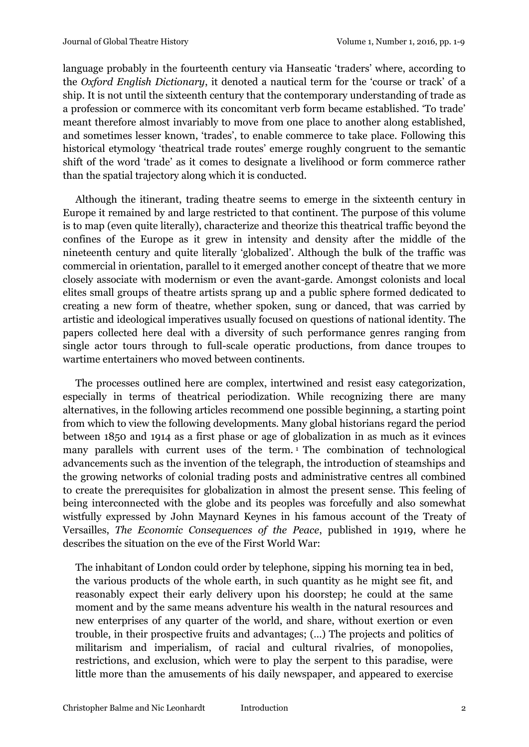language probably in the fourteenth century via Hanseatic 'traders' where, according to the *Oxford English Dictionary*, it denoted a nautical term for the 'course or track' of a ship. It is not until the sixteenth century that the contemporary understanding of trade as a profession or commerce with its concomitant verb form became established. 'To trade' meant therefore almost invariably to move from one place to another along established, and sometimes lesser known, 'trades', to enable commerce to take place. Following this historical etymology 'theatrical trade routes' emerge roughly congruent to the semantic shift of the word 'trade' as it comes to designate a livelihood or form commerce rather than the spatial trajectory along which it is conducted.

Although the itinerant, trading theatre seems to emerge in the sixteenth century in Europe it remained by and large restricted to that continent. The purpose of this volume is to map (even quite literally), characterize and theorize this theatrical traffic beyond the confines of the Europe as it grew in intensity and density after the middle of the nineteenth century and quite literally 'globalized'. Although the bulk of the traffic was commercial in orientation, parallel to it emerged another concept of theatre that we more closely associate with modernism or even the avant-garde. Amongst colonists and local elites small groups of theatre artists sprang up and a public sphere formed dedicated to creating a new form of theatre, whether spoken, sung or danced, that was carried by artistic and ideological imperatives usually focused on questions of national identity. The papers collected here deal with a diversity of such performance genres ranging from single actor tours through to full-scale operatic productions, from dance troupes to wartime entertainers who moved between continents.

The processes outlined here are complex, intertwined and resist easy categorization, especially in terms of theatrical periodization. While recognizing there are many alternatives, in the following articles recommend one possible beginning, a starting point from which to view the following developments. Many global historians regard the period between 1850 and 1914 as a first phase or age of globalization in as much as it evinces many parallels with current uses of the term.<sup>1</sup> The combination of technological advancements such as the invention of the telegraph, the introduction of steamships and the growing networks of colonial trading posts and administrative centres all combined to create the prerequisites for globalization in almost the present sense. This feeling of being interconnected with the globe and its peoples was forcefully and also somewhat wistfully expressed by John Maynard Keynes in his famous account of the Treaty of Versailles, *The Economic Consequences of the Peace*, published in 1919, where he describes the situation on the eve of the First World War:

The inhabitant of London could order by telephone, sipping his morning tea in bed, the various products of the whole earth, in such quantity as he might see fit, and reasonably expect their early delivery upon his doorstep; he could at the same moment and by the same means adventure his wealth in the natural resources and new enterprises of any quarter of the world, and share, without exertion or even trouble, in their prospective fruits and advantages; (…) The projects and politics of militarism and imperialism, of racial and cultural rivalries, of monopolies, restrictions, and exclusion, which were to play the serpent to this paradise, were little more than the amusements of his daily newspaper, and appeared to exercise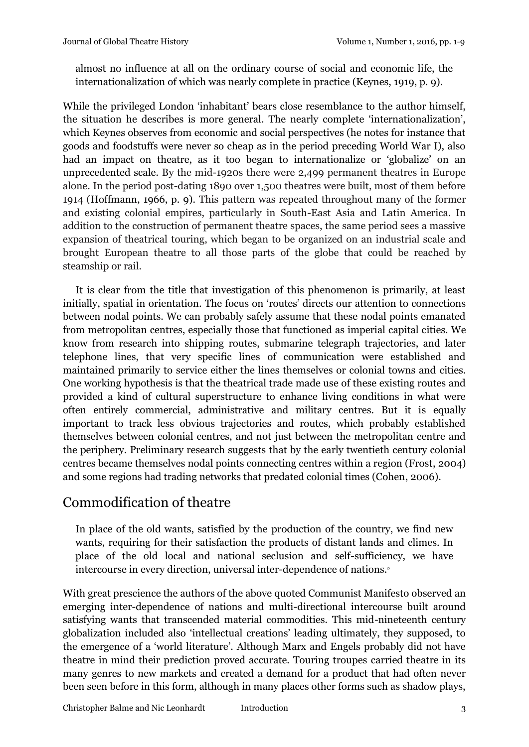almost no influence at all on the ordinary course of social and economic life, the internationalization of which was nearly complete in practice (Keynes, 1919, p. 9).

While the privileged London 'inhabitant' bears close resemblance to the author himself, the situation he describes is more general. The nearly complete 'internationalization', which Keynes observes from economic and social perspectives (he notes for instance that goods and foodstuffs were never so cheap as in the period preceding World War I), also had an impact on theatre, as it too began to internationalize or 'globalize' on an unprecedented scale. By the mid-1920s there were 2,499 permanent theatres in Europe alone. In the period post-dating 1890 over 1,500 theatres were built, most of them before 1914 (Hoffmann, 1966, p. 9). This pattern was repeated throughout many of the former and existing colonial empires, particularly in South-East Asia and Latin America. In addition to the construction of permanent theatre spaces, the same period sees a massive expansion of theatrical touring, which began to be organized on an industrial scale and brought European theatre to all those parts of the globe that could be reached by steamship or rail.

It is clear from the title that investigation of this phenomenon is primarily, at least initially, spatial in orientation. The focus on 'routes' directs our attention to connections between nodal points. We can probably safely assume that these nodal points emanated from metropolitan centres, especially those that functioned as imperial capital cities. We know from research into shipping routes, submarine telegraph trajectories, and later telephone lines, that very specific lines of communication were established and maintained primarily to service either the lines themselves or colonial towns and cities. One working hypothesis is that the theatrical trade made use of these existing routes and provided a kind of cultural superstructure to enhance living conditions in what were often entirely commercial, administrative and military centres. But it is equally important to track less obvious trajectories and routes, which probably established themselves between colonial centres, and not just between the metropolitan centre and the periphery. Preliminary research suggests that by the early twentieth century colonial centres became themselves nodal points connecting centres within a region (Frost, 2004) and some regions had trading networks that predated colonial times (Cohen, 2006).

## Commodification of theatre

In place of the old wants, satisfied by the production of the country, we find new wants, requiring for their satisfaction the products of distant lands and climes. In place of the old local and national seclusion and self-sufficiency, we have intercourse in every direction, universal inter-dependence of nations.<sup>2</sup>

With great prescience the authors of the above quoted Communist Manifesto observed an emerging inter-dependence of nations and multi-directional intercourse built around satisfying wants that transcended material commodities. This mid-nineteenth century globalization included also 'intellectual creations' leading ultimately, they supposed, to the emergence of a 'world literature'. Although Marx and Engels probably did not have theatre in mind their prediction proved accurate. Touring troupes carried theatre in its many genres to new markets and created a demand for a product that had often never been seen before in this form, although in many places other forms such as shadow plays,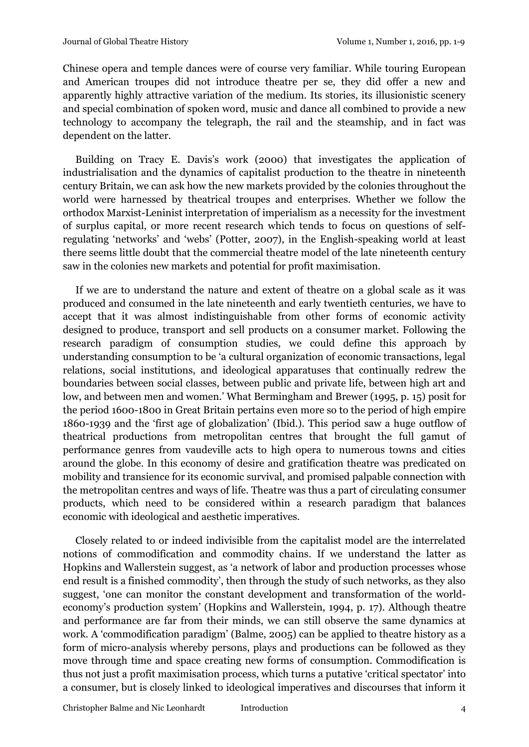Chinese opera and temple dances were of course very familiar. While touring European and American troupes did not introduce theatre per se, they did offer a new and apparently highly attractive variation of the medium. Its stories, its illusionistic scenery and special combination of spoken word, music and dance all combined to provide a new technology to accompany the telegraph, the rail and the steamship, and in fact was dependent on the latter.

Building on Tracy E. Davis's work (2000) that investigates the application of industrialisation and the dynamics of capitalist production to the theatre in nineteenth century Britain, we can ask how the new markets provided by the colonies throughout the world were harnessed by theatrical troupes and enterprises. Whether we follow the orthodox Marxist-Leninist interpretation of imperialism as a necessity for the investment of surplus capital, or more recent research which tends to focus on questions of selfregulating 'networks' and 'webs' (Potter, 2007), in the English-speaking world at least there seems little doubt that the commercial theatre model of the late nineteenth century saw in the colonies new markets and potential for profit maximisation.

If we are to understand the nature and extent of theatre on a global scale as it was produced and consumed in the late nineteenth and early twentieth centuries, we have to accept that it was almost indistinguishable from other forms of economic activity designed to produce, transport and sell products on a consumer market. Following the research paradigm of consumption studies, we could define this approach by understanding consumption to be 'a cultural organization of economic transactions, legal relations, social institutions, and ideological apparatuses that continually redrew the boundaries between social classes, between public and private life, between high art and low, and between men and women.' What Bermingham and Brewer (1995, p. 15) posit for the period 1600-1800 in Great Britain pertains even more so to the period of high empire 1860-1939 and the 'first age of globalization' (Ibid.). This period saw a huge outflow of theatrical productions from metropolitan centres that brought the full gamut of performance genres from vaudeville acts to high opera to numerous towns and cities around the globe. In this economy of desire and gratification theatre was predicated on mobility and transience for its economic survival, and promised palpable connection with the metropolitan centres and ways of life. Theatre was thus a part of circulating consumer products, which need to be considered within a research paradigm that balances economic with ideological and aesthetic imperatives.

Closely related to or indeed indivisible from the capitalist model are the interrelated notions of commodification and commodity chains. If we understand the latter as Hopkins and Wallerstein suggest, as 'a network of labor and production processes whose end result is a finished commodity', then through the study of such networks, as they also suggest, 'one can monitor the constant development and transformation of the worldeconomy's production system' (Hopkins and Wallerstein, 1994, p. 17). Although theatre and performance are far from their minds, we can still observe the same dynamics at work. A 'commodification paradigm' (Balme, 2005) can be applied to theatre history as a form of micro-analysis whereby persons, plays and productions can be followed as they move through time and space creating new forms of consumption. Commodification is thus not just a profit maximisation process, which turns a putative 'critical spectator' into a consumer, but is closely linked to ideological imperatives and discourses that inform it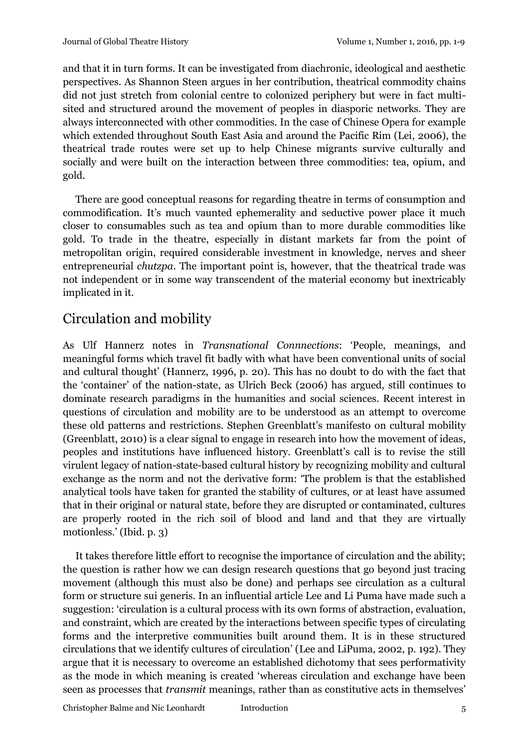and that it in turn forms. It can be investigated from diachronic, ideological and aesthetic perspectives. As Shannon Steen argues in her contribution, theatrical commodity chains did not just stretch from colonial centre to colonized periphery but were in fact multisited and structured around the movement of peoples in diasporic networks. They are always interconnected with other commodities. In the case of Chinese Opera for example which extended throughout South East Asia and around the Pacific Rim (Lei, 2006), the theatrical trade routes were set up to help Chinese migrants survive culturally and socially and were built on the interaction between three commodities: tea, opium, and gold.

There are good conceptual reasons for regarding theatre in terms of consumption and commodification. It's much vaunted ephemerality and seductive power place it much closer to consumables such as tea and opium than to more durable commodities like gold. To trade in the theatre, especially in distant markets far from the point of metropolitan origin, required considerable investment in knowledge, nerves and sheer entrepreneurial *chutzpa*. The important point is, however, that the theatrical trade was not independent or in some way transcendent of the material economy but inextricably implicated in it.

## Circulation and mobility

As Ulf Hannerz notes in *Transnational Connnections*: 'People, meanings, and meaningful forms which travel fit badly with what have been conventional units of social and cultural thought' (Hannerz, 1996, p. 20). This has no doubt to do with the fact that the 'container' of the nation-state, as Ulrich Beck (2006) has argued, still continues to dominate research paradigms in the humanities and social sciences. Recent interest in questions of circulation and mobility are to be understood as an attempt to overcome these old patterns and restrictions. Stephen Greenblatt's manifesto on cultural mobility (Greenblatt, 2010) is a clear signal to engage in research into how the movement of ideas, peoples and institutions have influenced history. Greenblatt's call is to revise the still virulent legacy of nation-state-based cultural history by recognizing mobility and cultural exchange as the norm and not the derivative form: 'The problem is that the established analytical tools have taken for granted the stability of cultures, or at least have assumed that in their original or natural state, before they are disrupted or contaminated, cultures are properly rooted in the rich soil of blood and land and that they are virtually motionless.' (Ibid. p. 3)

It takes therefore little effort to recognise the importance of circulation and the ability; the question is rather how we can design research questions that go beyond just tracing movement (although this must also be done) and perhaps see circulation as a cultural form or structure sui generis. In an influential article Lee and Li Puma have made such a suggestion: 'circulation is a cultural process with its own forms of abstraction, evaluation, and constraint, which are created by the interactions between specific types of circulating forms and the interpretive communities built around them. It is in these structured circulations that we identify cultures of circulation' (Lee and LiPuma, 2002, p. 192). They argue that it is necessary to overcome an established dichotomy that sees performativity as the mode in which meaning is created 'whereas circulation and exchange have been seen as processes that *transmit* meanings, rather than as constitutive acts in themselves'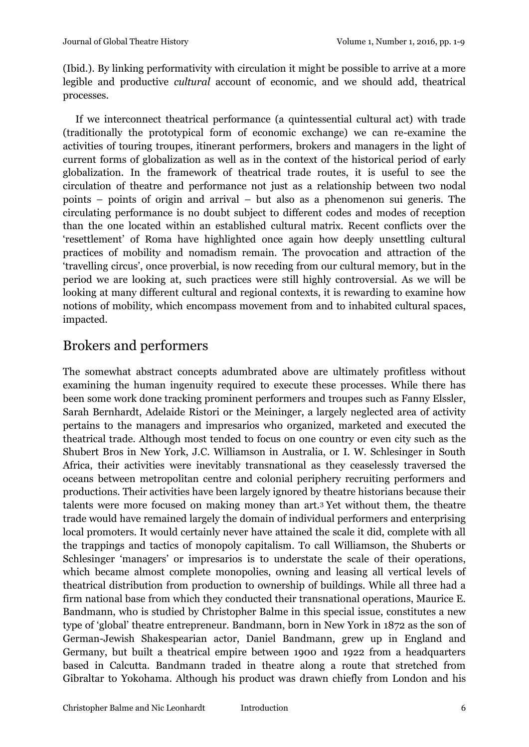(Ibid.). By linking performativity with circulation it might be possible to arrive at a more legible and productive *cultural* account of economic, and we should add, theatrical processes.

If we interconnect theatrical performance (a quintessential cultural act) with trade (traditionally the prototypical form of economic exchange) we can re-examine the activities of touring troupes, itinerant performers, brokers and managers in the light of current forms of globalization as well as in the context of the historical period of early globalization. In the framework of theatrical trade routes, it is useful to see the circulation of theatre and performance not just as a relationship between two nodal points – points of origin and arrival – but also as a phenomenon sui generis. The circulating performance is no doubt subject to different codes and modes of reception than the one located within an established cultural matrix. Recent conflicts over the 'resettlement' of Roma have highlighted once again how deeply unsettling cultural practices of mobility and nomadism remain. The provocation and attraction of the 'travelling circus', once proverbial, is now receding from our cultural memory, but in the period we are looking at, such practices were still highly controversial. As we will be looking at many different cultural and regional contexts, it is rewarding to examine how notions of mobility, which encompass movement from and to inhabited cultural spaces, impacted.

## Brokers and performers

The somewhat abstract concepts adumbrated above are ultimately profitless without examining the human ingenuity required to execute these processes. While there has been some work done tracking prominent performers and troupes such as Fanny Elssler, Sarah Bernhardt, Adelaide Ristori or the Meininger, a largely neglected area of activity pertains to the managers and impresarios who organized, marketed and executed the theatrical trade. Although most tended to focus on one country or even city such as the Shubert Bros in New York, J.C. Williamson in Australia, or I. W. Schlesinger in South Africa, their activities were inevitably transnational as they ceaselessly traversed the oceans between metropolitan centre and colonial periphery recruiting performers and productions. Their activities have been largely ignored by theatre historians because their talents were more focused on making money than art.<sup>3</sup> Yet without them, the theatre trade would have remained largely the domain of individual performers and enterprising local promoters. It would certainly never have attained the scale it did, complete with all the trappings and tactics of monopoly capitalism. To call Williamson, the Shuberts or Schlesinger 'managers' or impresarios is to understate the scale of their operations, which became almost complete monopolies, owning and leasing all vertical levels of theatrical distribution from production to ownership of buildings. While all three had a firm national base from which they conducted their transnational operations, Maurice E. Bandmann, who is studied by Christopher Balme in this special issue, constitutes a new type of 'global' theatre entrepreneur. Bandmann, born in New York in 1872 as the son of German-Jewish Shakespearian actor, Daniel Bandmann, grew up in England and Germany, but built a theatrical empire between 1900 and 1922 from a headquarters based in Calcutta. Bandmann traded in theatre along a route that stretched from Gibraltar to Yokohama. Although his product was drawn chiefly from London and his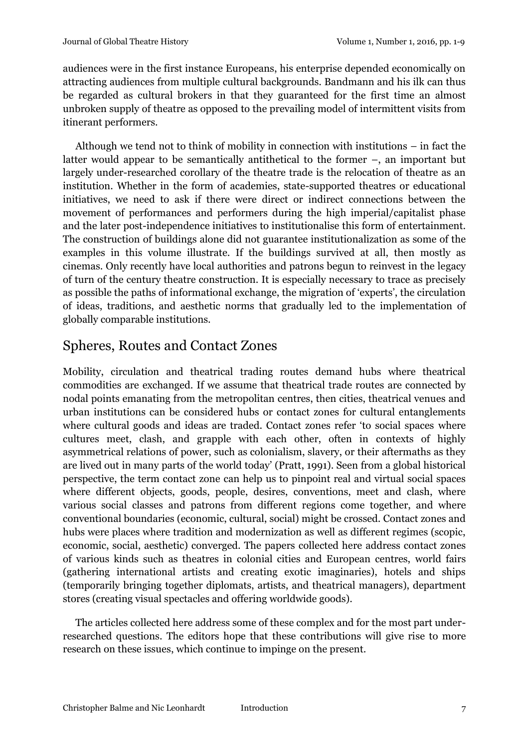audiences were in the first instance Europeans, his enterprise depended economically on attracting audiences from multiple cultural backgrounds. Bandmann and his ilk can thus be regarded as cultural brokers in that they guaranteed for the first time an almost unbroken supply of theatre as opposed to the prevailing model of intermittent visits from itinerant performers.

Although we tend not to think of mobility in connection with institutions – in fact the latter would appear to be semantically antithetical to the former –, an important but largely under-researched corollary of the theatre trade is the relocation of theatre as an institution. Whether in the form of academies, state-supported theatres or educational initiatives, we need to ask if there were direct or indirect connections between the movement of performances and performers during the high imperial/capitalist phase and the later post-independence initiatives to institutionalise this form of entertainment. The construction of buildings alone did not guarantee institutionalization as some of the examples in this volume illustrate. If the buildings survived at all, then mostly as cinemas. Only recently have local authorities and patrons begun to reinvest in the legacy of turn of the century theatre construction. It is especially necessary to trace as precisely as possible the paths of informational exchange, the migration of 'experts', the circulation of ideas, traditions, and aesthetic norms that gradually led to the implementation of globally comparable institutions.

## Spheres, Routes and Contact Zones

Mobility, circulation and theatrical trading routes demand hubs where theatrical commodities are exchanged. If we assume that theatrical trade routes are connected by nodal points emanating from the metropolitan centres, then cities, theatrical venues and urban institutions can be considered hubs or contact zones for cultural entanglements where cultural goods and ideas are traded. Contact zones refer 'to social spaces where cultures meet, clash, and grapple with each other, often in contexts of highly asymmetrical relations of power, such as colonialism, slavery, or their aftermaths as they are lived out in many parts of the world today' (Pratt, 1991). Seen from a global historical perspective, the term contact zone can help us to pinpoint real and virtual social spaces where different objects, goods, people, desires, conventions, meet and clash, where various social classes and patrons from different regions come together, and where conventional boundaries (economic, cultural, social) might be crossed. Contact zones and hubs were places where tradition and modernization as well as different regimes (scopic, economic, social, aesthetic) converged. The papers collected here address contact zones of various kinds such as theatres in colonial cities and European centres, world fairs (gathering international artists and creating exotic imaginaries), hotels and ships (temporarily bringing together diplomats, artists, and theatrical managers), department stores (creating visual spectacles and offering worldwide goods).

The articles collected here address some of these complex and for the most part underresearched questions. The editors hope that these contributions will give rise to more research on these issues, which continue to impinge on the present.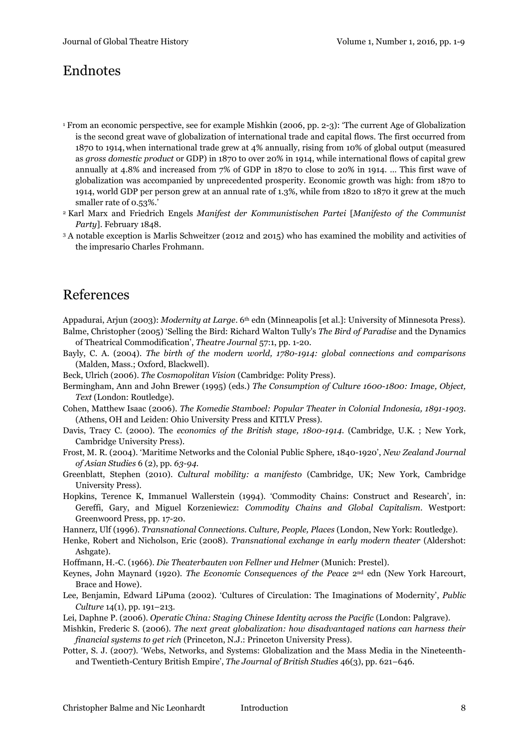#### Endnotes

- <sup>1</sup> From an economic perspective, see for example Mishkin (2006, pp. 2-3): 'The current Age of Globalization is the second great wave of globalization of international trade and capital flows. The first occurred from 1870 to 1914, when international trade grew at 4% annually, rising from 10% of global output (measured as *gross domestic product* or GDP) in 1870 to over 20% in 1914, while international flows of capital grew annually at 4.8% and increased from 7% of GDP in 1870 to close to 20% in 1914. … This first wave of globalization was accompanied by unprecedented prosperity. Economic growth was high: from 1870 to 1914, world GDP per person grew at an annual rate of 1.3%, while from 1820 to 1870 it grew at the much smaller rate of 0.53%.'
- <sup>2</sup> Karl Marx and Friedrich Engels *Manifest der Kommunistischen Partei* [*Manifesto of the Communist Party*]. February 1848.
- <sup>3</sup> A notable exception is Marlis Schweitzer (2012 and 2015) who has examined the mobility and activities of the impresario Charles Frohmann.

#### References

- Appadurai, Arjun (2003): *Modernity at Large*. 6<sup>th</sup> edn (Minneapolis [et al.]: University of Minnesota Press).
- Balme, Christopher (2005) 'Selling the Bird: Richard Walton Tully's *The Bird of Paradise* and the Dynamics of Theatrical Commodification', *Theatre Journal* 57:1, pp. 1-20.
- Bayly, C. A. (2004). *The birth of the modern world, 1780-1914: global connections and comparisons* (Malden, Mass.; Oxford, Blackwell).
- Beck, Ulrich (2006). *The Cosmopolitan Vision* (Cambridge: Polity Press).
- Bermingham, Ann and John Brewer (1995) (eds.) *The Consumption of Culture 1600-1800: Image, Object, Text* (London: Routledge).
- Cohen, Matthew Isaac (2006). *The Komedie Stamboel: Popular Theater in Colonial Indonesia, 1891-1903*. (Athens, OH and Leiden: Ohio University Press and KITLV Press).
- Davis, Tracy C. (2000). The *economics of the British stage, 1800-1914*. (Cambridge, U.K. ; New York, Cambridge University Press).
- Frost, M. R. (2004). 'Maritime Networks and the Colonial Public Sphere, 1840-1920', *New Zealand Journal of Asian Studies* 6 (2), pp. *63-94*.
- Greenblatt, Stephen (2010). *Cultural mobility: a manifesto* (Cambridge, UK; New York, Cambridge University Press).
- Hopkins, Terence K, Immanuel Wallerstein (1994). 'Commodity Chains: Construct and Research', in: Gereffi, Gary, and Miguel Korzeniewicz: *Commodity Chains and Global Capitalism*. Westport: Greenwoord Press, pp. 17-20.
- Hannerz, Ulf (1996). *Transnational Connections. Culture, People, Places* (London, New York: Routledge).
- Henke, Robert and Nicholson, Eric (2008). *Transnational exchange in early modern theater* (Aldershot: Ashgate).
- Hoffmann, H.-C. (1966). *Die Theaterbauten von Fellner und Helmer* (Munich: Prestel).
- Keynes, John Maynard (1920). *The Economic Consequences of the Peace* 2nd edn (New York Harcourt, Brace and Howe).
- Lee, Benjamin, Edward LiPuma (2002). 'Cultures of Circulation: The Imaginations of Modernity', *Public Culture* 14(1), pp. 191–213.
- Lei, Daphne P. (2006). *Operatic China: Staging Chinese Identity across the Pacific* (London: Palgrave).
- Mishkin, Frederic S. (2006). *The next great globalization: how disadvantaged nations can harness their financial systems to get rich* (Princeton, N.J.: Princeton University Press).
- Potter, S. J. (2007). 'Webs, Networks, and Systems: Globalization and the Mass Media in the Nineteenthand Twentieth-Century British Empire', *The Journal of British Studies* 46(3), pp. 621–646.